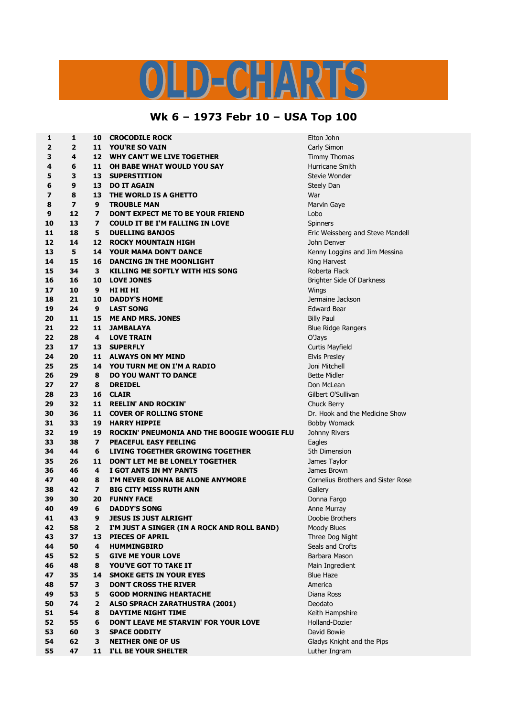## $C - L$ D) a

## **Wk 6 – 1973 Febr 10 – USA Top 100**

| 1  | 1                       | 10                      | <b>CROCODILE ROCK</b>                       | Elton John                         |
|----|-------------------------|-------------------------|---------------------------------------------|------------------------------------|
| 2  | 2                       | 11                      | <b>YOU'RE SO VAIN</b>                       | Carly Simon                        |
| 3  | 4                       | 12 <sup>2</sup>         | <b>WHY CAN'T WE LIVE TOGETHER</b>           | Timmy Thomas                       |
| 4  | 6                       | 11                      | OH BABE WHAT WOULD YOU SAY                  | Hurricane Smith                    |
| 5  | 3                       | 13                      | <b>SUPERSTITION</b>                         | Stevie Wonder                      |
| 6  | 9                       | 13                      | <b>DO IT AGAIN</b>                          | Steely Dan                         |
| 7  | 8                       | 13                      | THE WORLD IS A GHETTO                       | War                                |
| 8  | $\overline{\mathbf{z}}$ | 9                       | <b>TROUBLE MAN</b>                          | Marvin Gaye                        |
| 9  | 12                      | $\overline{\mathbf{z}}$ | DON'T EXPECT ME TO BE YOUR FRIEND           | Lobo                               |
| 10 | 13                      | $\overline{\mathbf{z}}$ | <b>COULD IT BE I'M FALLING IN LOVE</b>      | Spinners                           |
| 11 | 18                      | 5                       | <b>DUELLING BANJOS</b>                      | Eric Weissberg and Steve Mandell   |
| 12 | 14                      | 12                      | <b>ROCKY MOUNTAIN HIGH</b>                  | John Denver                        |
| 13 | 5                       | 14                      | <b>YOUR MAMA DON'T DANCE</b>                | Kenny Loggins and Jim Messina      |
| 14 | 15                      | 16                      | <b>DANCING IN THE MOONLIGHT</b>             | King Harvest                       |
| 15 | 34                      | 3                       | KILLING ME SOFTLY WITH HIS SONG             | Roberta Flack                      |
| 16 | 16                      | 10                      | <b>LOVE JONES</b>                           | Brighter Side Of Darkness          |
| 17 | 10                      | 9                       | HI HI HI                                    | Wings                              |
| 18 | 21                      | 10                      | <b>DADDY'S HOME</b>                         | Jermaine Jackson                   |
| 19 | 24                      | 9                       | <b>LAST SONG</b>                            | <b>Edward Bear</b>                 |
| 20 | 11                      | 15                      | <b>ME AND MRS. JONES</b>                    | <b>Billy Paul</b>                  |
| 21 | 22                      | 11                      | <b>JAMBALAYA</b>                            | <b>Blue Ridge Rangers</b>          |
| 22 | 28                      | 4                       | <b>LOVE TRAIN</b>                           | O'Jays                             |
| 23 | 17                      | 13                      | <b>SUPERFLY</b>                             | Curtis Mayfield                    |
| 24 | 20                      | 11                      | <b>ALWAYS ON MY MIND</b>                    | <b>Elvis Presley</b>               |
| 25 | 25                      | 14                      | YOU TURN ME ON I'M A RADIO                  | Joni Mitchell                      |
| 26 | 29                      | 8                       | <b>DO YOU WANT TO DANCE</b>                 | <b>Bette Midler</b>                |
| 27 | 27                      | 8                       | <b>DREIDEL</b>                              | Don McLean                         |
| 28 | 23                      | 16                      | <b>CLAIR</b>                                | Gilbert O'Sullivan                 |
| 29 | 32                      | 11                      | <b>REELIN' AND ROCKIN'</b>                  | Chuck Berry                        |
| 30 | 36                      | 11                      | <b>COVER OF ROLLING STONE</b>               | Dr. Hook and the Medicine Show     |
| 31 | 33                      | 19                      | <b>HARRY HIPPIE</b>                         | <b>Bobby Womack</b>                |
| 32 | 19                      | 19                      | ROCKIN' PNEUMONIA AND THE BOOGIE WOOGIE FLU | Johnny Rivers                      |
| 33 | 38                      | $\overline{ }$          | <b>PEACEFUL EASY FEELING</b>                | Eagles                             |
| 34 | 44                      | 6                       | <b>LIVING TOGETHER GROWING TOGETHER</b>     | 5th Dimension                      |
| 35 | 26                      | 11                      | DON'T LET ME BE LONELY TOGETHER             | James Taylor                       |
| 36 | 46                      | 4                       | I GOT ANTS IN MY PANTS                      | James Brown                        |
| 47 | 40                      | 8                       | I'M NEVER GONNA BE ALONE ANYMORE            | Cornelius Brothers and Sister Rose |
| 38 | 42                      | $\overline{\mathbf{z}}$ | <b>BIG CITY MISS RUTH ANN</b>               | Gallery                            |
| 39 | 30                      | 20                      | <b>FUNNY FACE</b>                           | Donna Fargo                        |
| 40 | 49                      | 6                       | <b>DADDY'S SONG</b>                         | Anne Murray                        |
| 41 | 43                      | 9                       | <b>JESUS IS JUST ALRIGHT</b>                | Doobie Brothers                    |
| 42 | 58                      | 2                       | I'M JUST A SINGER (IN A ROCK AND ROLL BAND) | Moody Blues                        |
| 43 | 37                      | 13                      | <b>PIECES OF APRIL</b>                      | Three Dog Night                    |
| 44 | 50                      | 4                       | <b>HUMMINGBIRD</b>                          | Seals and Crofts                   |
| 45 | 52                      | 5                       | <b>GIVE ME YOUR LOVE</b>                    | Barbara Mason                      |
| 46 | 48                      | 8                       | YOU'VE GOT TO TAKE IT                       | Main Ingredient                    |
| 47 | 35                      | 14                      | <b>SMOKE GETS IN YOUR EYES</b>              | <b>Blue Haze</b>                   |
| 48 | 57                      | 3                       | <b>DON'T CROSS THE RIVER</b>                | America                            |
| 49 | 53                      | 5                       | <b>GOOD MORNING HEARTACHE</b>               | Diana Ross                         |
| 50 | 74                      | 2                       | <b>ALSO SPRACH ZARATHUSTRA (2001)</b>       | Deodato                            |
| 51 | 54                      | 8                       | <b>DAYTIME NIGHT TIME</b>                   | Keith Hampshire                    |
| 52 | 55                      | 6                       | DON'T LEAVE ME STARVIN' FOR YOUR LOVE       | Holland-Dozier                     |
| 53 | 60                      | 3                       | <b>SPACE ODDITY</b>                         | David Bowie                        |
| 54 | 62                      | 3                       | <b>NEITHER ONE OF US</b>                    | Gladys Knight and the Pips         |
| 55 | 47                      | 11                      | I'LL BE YOUR SHELTER                        | Luther Ingram                      |